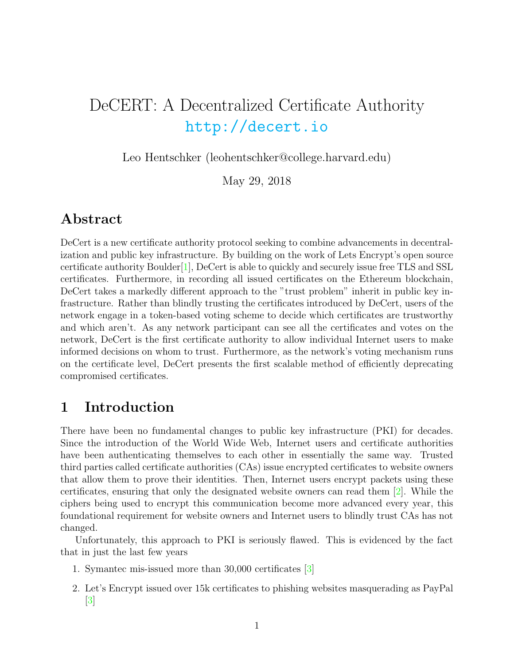# DeCERT: A Decentralized Certificate Authority <http://decert.io>

Leo Hentschker (leohentschker@college.harvard.edu)

May 29, 2018

## Abstract

DeCert is a new certificate authority protocol seeking to combine advancements in decentralization and public key infrastructure. By building on the work of Lets Encrypt's open source certificate authority Boulder[\[1\]](#page-10-0), DeCert is able to quickly and securely issue free TLS and SSL certificates. Furthermore, in recording all issued certificates on the Ethereum blockchain, DeCert takes a markedly different approach to the "trust problem" inherit in public key infrastructure. Rather than blindly trusting the certificates introduced by DeCert, users of the network engage in a token-based voting scheme to decide which certificates are trustworthy and which aren't. As any network participant can see all the certificates and votes on the network, DeCert is the first certificate authority to allow individual Internet users to make informed decisions on whom to trust. Furthermore, as the network's voting mechanism runs on the certificate level, DeCert presents the first scalable method of efficiently deprecating compromised certificates.

# 1 Introduction

There have been no fundamental changes to public key infrastructure (PKI) for decades. Since the introduction of the World Wide Web, Internet users and certificate authorities have been authenticating themselves to each other in essentially the same way. Trusted third parties called certificate authorities (CAs) issue encrypted certificates to website owners that allow them to prove their identities. Then, Internet users encrypt packets using these certificates, ensuring that only the designated website owners can read them [\[2\]](#page-10-1). While the ciphers being used to encrypt this communication become more advanced every year, this foundational requirement for website owners and Internet users to blindly trust CAs has not changed.

Unfortunately, this approach to PKI is seriously flawed. This is evidenced by the fact that in just the last few years

- 1. Symantec mis-issued more than 30,000 certificates [\[3\]](#page-10-2)
- 2. Let's Encrypt issued over 15k certificates to phishing websites masquerading as PayPal  $|3|$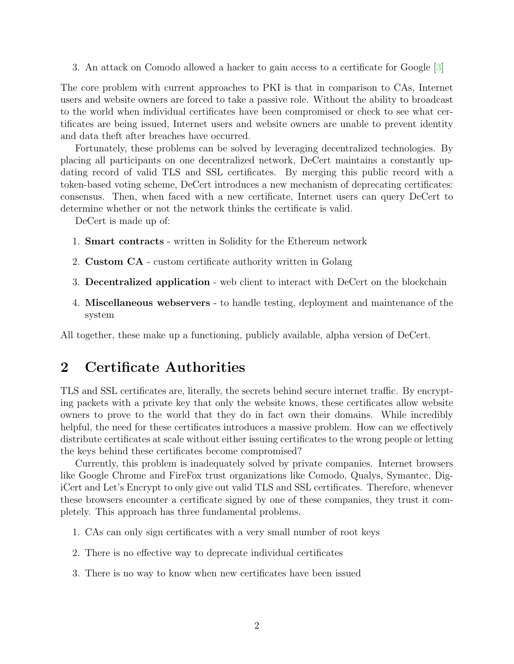3. An attack on Comodo allowed a hacker to gain access to a certificate for Google [\[3\]](#page-10-2)

The core problem with current approaches to PKI is that in comparison to CAs, Internet users and website owners are forced to take a passive role. Without the ability to broadcast to the world when individual certificates have been compromised or check to see what certificates are being issued, Internet users and website owners are unable to prevent identity and data theft after breaches have occurred.

Fortunately, these problems can be solved by leveraging decentralized technologies. By placing all participants on one decentralized network, DeCert maintains a constantly updating record of valid TLS and SSL certificates. By merging this public record with a token-based voting scheme, DeCert introduces a new mechanism of deprecating certificates: consensus. Then, when faced with a new certificate, Internet users can query DeCert to determine whether or not the network thinks the certificate is valid.

DeCert is made up of:

- 1. Smart contracts written in Solidity for the Ethereum network
- 2. Custom CA custom certificate authority written in Golang
- 3. Decentralized application web client to interact with DeCert on the blockchain
- 4. Miscellaneous webservers to handle testing, deployment and maintenance of the system

All together, these make up a functioning, publicly available, alpha version of DeCert.

### 2 Certificate Authorities

TLS and SSL certificates are, literally, the secrets behind secure internet traffic. By encrypting packets with a private key that only the website knows, these certificates allow website owners to prove to the world that they do in fact own their domains. While incredibly helpful, the need for these certificates introduces a massive problem. How can we effectively distribute certificates at scale without either issuing certificates to the wrong people or letting the keys behind these certificates become compromised?

Currently, this problem is inadequately solved by private companies. Internet browsers like Google Chrome and FireFox trust organizations like Comodo, Qualys, Symantec, DigiCert and Let's Encrypt to only give out valid TLS and SSL certificates. Therefore, whenever these browsers encounter a certificate signed by one of these companies, they trust it completely. This approach has three fundamental problems.

- 1. CAs can only sign certificates with a very small number of root keys
- 2. There is no effective way to deprecate individual certificates
- 3. There is no way to know when new certificates have been issued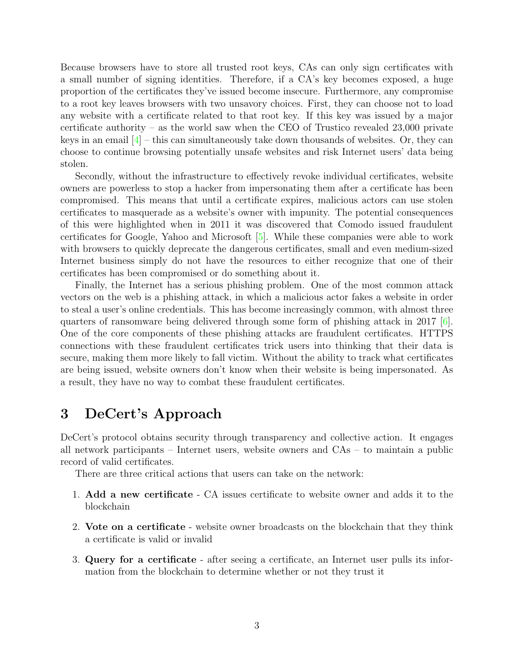Because browsers have to store all trusted root keys, CAs can only sign certificates with a small number of signing identities. Therefore, if a CA's key becomes exposed, a huge proportion of the certificates they've issued become insecure. Furthermore, any compromise to a root key leaves browsers with two unsavory choices. First, they can choose not to load any website with a certificate related to that root key. If this key was issued by a major certificate authority – as the world saw when the CEO of Trustico revealed 23,000 private keys in an email  $\left|4\right|$  – this can simultaneously take down thousands of websites. Or, they can choose to continue browsing potentially unsafe websites and risk Internet users' data being stolen.

Secondly, without the infrastructure to effectively revoke individual certificates, website owners are powerless to stop a hacker from impersonating them after a certificate has been compromised. This means that until a certificate expires, malicious actors can use stolen certificates to masquerade as a website's owner with impunity. The potential consequences of this were highlighted when in 2011 it was discovered that Comodo issued fraudulent certificates for Google, Yahoo and Microsoft [\[5\]](#page-10-4). While these companies were able to work with browsers to quickly deprecate the dangerous certificates, small and even medium-sized Internet business simply do not have the resources to either recognize that one of their certificates has been compromised or do something about it.

Finally, the Internet has a serious phishing problem. One of the most common attack vectors on the web is a phishing attack, in which a malicious actor fakes a website in order to steal a user's online credentials. This has become increasingly common, with almost three quarters of ransomware being delivered through some form of phishing attack in 2017 [\[6\]](#page-10-5). One of the core components of these phishing attacks are fraudulent certificates. HTTPS connections with these fraudulent certificates trick users into thinking that their data is secure, making them more likely to fall victim. Without the ability to track what certificates are being issued, website owners don't know when their website is being impersonated. As a result, they have no way to combat these fraudulent certificates.

### 3 DeCert's Approach

DeCert's protocol obtains security through transparency and collective action. It engages all network participants – Internet users, website owners and CAs – to maintain a public record of valid certificates.

There are three critical actions that users can take on the network:

- 1. Add a new certificate CA issues certificate to website owner and adds it to the blockchain
- 2. Vote on a certificate website owner broadcasts on the blockchain that they think a certificate is valid or invalid
- 3. Query for a certificate after seeing a certificate, an Internet user pulls its information from the blockchain to determine whether or not they trust it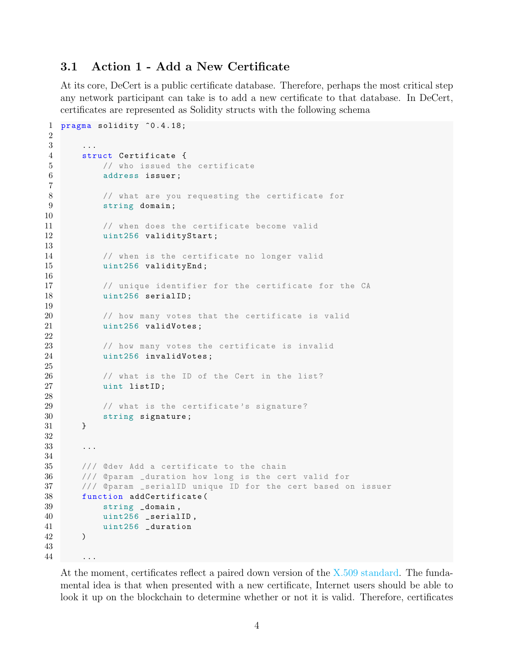### 3.1 Action 1 - Add a New Certificate

At its core, DeCert is a public certificate database. Therefore, perhaps the most critical step any network participant can take is to add a new certificate to that database. In DeCert, certificates are represented as Solidity structs with the following schema

```
1 pragma solidity ^0.4.18;
2
3 ...
4 struct Certificate {
5 // who issued the certificate
6 address issuer ;
7
8 // what are you requesting the certificate for
9 string domain ;
10
11 // when does the certificate become valid
12 uint256 validityStart;
13
14 // when is the certificate no longer valid
15 uint256 validityEnd;
16
17 // unique identifier for the certificate for the CA
18 uint256 serialID;
19
20 // how many votes that the certificate is valid
21 uint256 validVotes;
22
23 // how many votes the certificate is invalid
24 uint256 invalidVotes ;
25
26 // what is the ID of the Cert in the list?
27 uint listID ;
28
29 // what is the certificate's signature?
30 string signature ;
31 }
32
33 ...
34
35 /// @dev Add a certificate to the chain
36 /// @param _duration how long is the cert valid for
37 /// @param _serialID unique ID for the cert based on issuer
38 function addCertificate (
39 string _domain ,
40 uint256 _serialID ,
41 uint256 _duration
42 )
43
44
```
At the moment, certificates reflect a paired down version of the [X.509 standard.](https://en.wikipedia.org/wiki/X.509#Structure_of_a_certificate) The fundamental idea is that when presented with a new certificate, Internet users should be able to look it up on the blockchain to determine whether or not it is valid. Therefore, certificates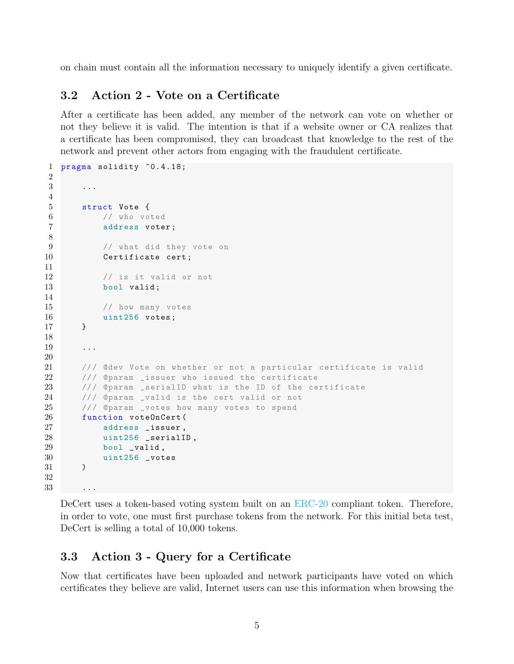on chain must contain all the information necessary to uniquely identify a given certificate.

### 3.2 Action 2 - Vote on a Certificate

After a certificate has been added, any member of the network can vote on whether or not they believe it is valid. The intention is that if a website owner or CA realizes that a certificate has been compromised, they can broadcast that knowledge to the rest of the network and prevent other actors from engaging with the fraudulent certificate.

```
1 pragma solidity ^0.4.18;
2
3 ...
4
5 struct Vote {
6 // who voted
7 address voter ;
8
9 // what did they vote on
10 Certificate cert;
11
12 // is it valid or not
13 bool valid;
14
15 // how many votes
16 uint256 votes;<br>17 }
17 }
18
19 ...
20
21 /// @dev Vote on whether or not a particular certificate is valid
22 /// Oparam _issuer who issued the certificate
23 /// @param _serialID what is the ID of the certificate
24 /// @param _valid is the cert valid or not
25 /// @param _votes how many votes to spend
26 function voteOnCert (
27 address _issuer ,
28 uint256 _serialID ,
29 bool _valid,
30 uint256 _votes
31 )
32
33
```
DeCert uses a token-based voting system built on an [ERC-20](https://en.wikipedia.org/wiki/ERC20) compliant token. Therefore, in order to vote, one must first purchase tokens from the network. For this initial beta test, DeCert is selling a total of 10,000 tokens.

#### 3.3 Action 3 - Query for a Certificate

Now that certificates have been uploaded and network participants have voted on which certificates they believe are valid, Internet users can use this information when browsing the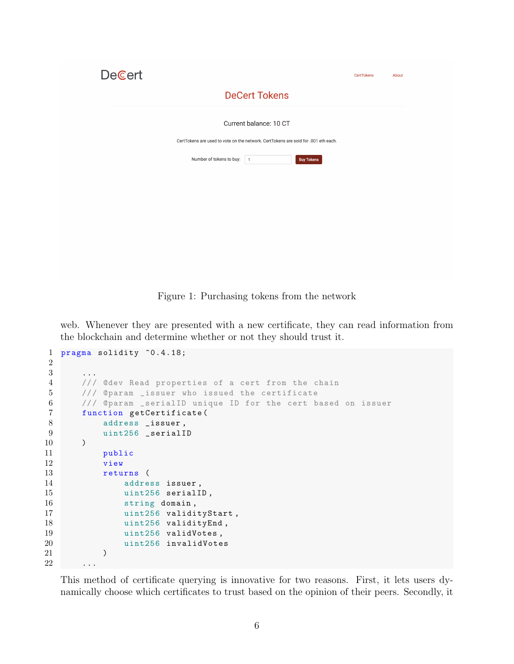| <b>DeCert</b>                                                                      | <b>CertTokens</b> | About |
|------------------------------------------------------------------------------------|-------------------|-------|
| <b>DeCert Tokens</b>                                                               |                   |       |
| Current balance: 10 CT                                                             |                   |       |
| CertTokens are used to vote on the network. CertTokens are sold for .001 eth each. |                   |       |
| Number of tokens to buy:<br><b>Buy Tokens</b><br>$\overline{1}$                    |                   |       |
|                                                                                    |                   |       |
|                                                                                    |                   |       |

Figure 1: Purchasing tokens from the network

web. Whenever they are presented with a new certificate, they can read information from the blockchain and determine whether or not they should trust it.

```
1 pragma solidity \hat{O}.4.18;
2
3 ...
4 /// @dev Read properties of a cert from the chain
5 /// @param _issuer who issued the certificate
6 /// @param _serialID unique ID for the cert based on issuer
7 function getCertificate (
8 address _issuer,
9 uint256 _serialID
10 )
11 public
12 view
13 returns (
14 address issuer ,
15 uint256 serialID,
16 string domain,
17 uint256 validityStart,
18 uint256 validityEnd,
19 uint256 validVotes,
20 uint256 invalidVotes
21 )
22
```
This method of certificate querying is innovative for two reasons. First, it lets users dynamically choose which certificates to trust based on the opinion of their peers. Secondly, it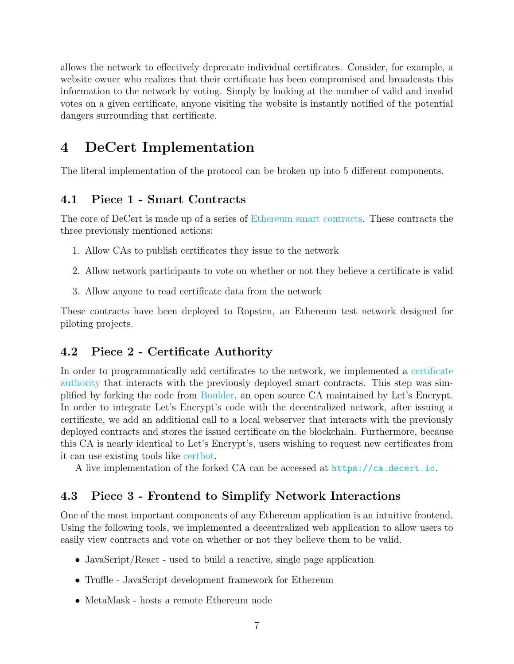allows the network to effectively deprecate individual certificates. Consider, for example, a website owner who realizes that their certificate has been compromised and broadcasts this information to the network by voting. Simply by looking at the number of valid and invalid votes on a given certificate, anyone visiting the website is instantly notified of the potential dangers surrounding that certificate.

# 4 DeCert Implementation

The literal implementation of the protocol can be broken up into 5 different components.

### 4.1 Piece 1 - Smart Contracts

The core of DeCert is made up of a series of [Ethereum smart contracts.](https://github.com/leohentschker/decert/tree/master/contracts) These contracts the three previously mentioned actions:

- 1. Allow CAs to publish certificates they issue to the network
- 2. Allow network participants to vote on whether or not they believe a certificate is valid
- 3. Allow anyone to read certificate data from the network

These contracts have been deployed to Ropsten, an Ethereum test network designed for piloting projects.

### 4.2 Piece 2 - Certificate Authority

In order to programmatically add certificates to the network, we implemented a [certificate](https://github.com/leohentschker/boulder) [authority](https://github.com/leohentschker/boulder) that interacts with the previously deployed smart contracts. This step was simplified by forking the code from [Boulder,](https://github.com/letsencrypt/boulder) an open source CA maintained by Let's Encrypt. In order to integrate Let's Encrypt's code with the decentralized network, after issuing a certificate, we add an additional call to a local webserver that interacts with the previously deployed contracts and stores the issued certificate on the blockchain. Furthermore, because this CA is nearly identical to Let's Encrypt's, users wishing to request new certificates from it can use existing tools like [certbot.](https://certbot.eff.org/)

A live implementation of the forked CA can be accessed at <https://ca.decert.io>.

#### 4.3 Piece 3 - Frontend to Simplify Network Interactions

One of the most important components of any Ethereum application is an intuitive frontend. Using the following tools, we implemented a decentralized web application to allow users to easily view contracts and vote on whether or not they believe them to be valid.

- JavaScript/React used to build a reactive, single page application
- Truffle JavaScript development framework for Ethereum
- MetaMask hosts a remote Ethereum node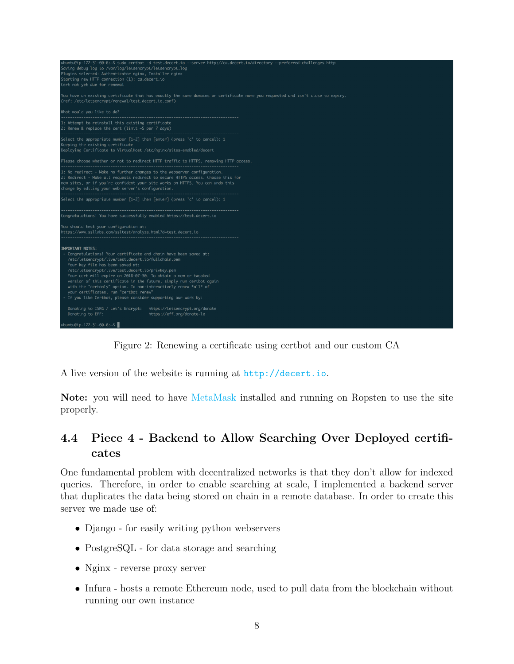

Figure 2: Renewing a certificate using certbot and our custom CA

A live version of the website is running at <http://decert.io>.

Note: you will need to have [MetaMask](https://metamask.io/) installed and running on Ropsten to use the site properly.

### 4.4 Piece 4 - Backend to Allow Searching Over Deployed certificates

One fundamental problem with decentralized networks is that they don't allow for indexed queries. Therefore, in order to enable searching at scale, I implemented a backend server that duplicates the data being stored on chain in a remote database. In order to create this server we made use of:

- Django for easily writing python webservers
- PostgreSQL for data storage and searching
- Nginx reverse proxy server
- Infura hosts a remote Ethereum node, used to pull data from the blockchain without running our own instance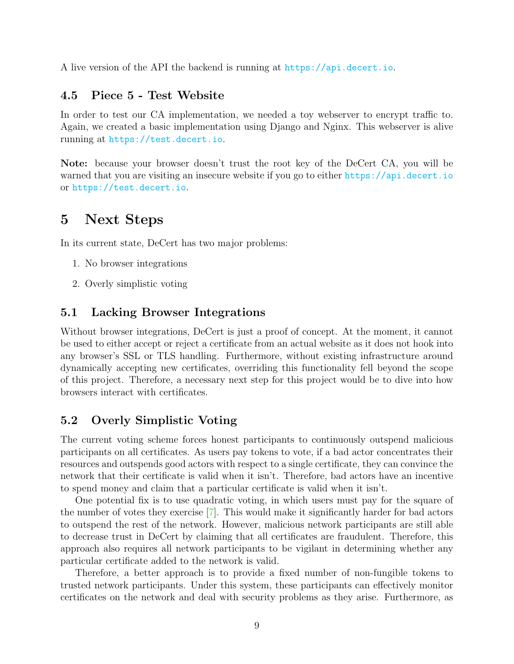A live version of the API the backend is running at <https://api.decert.io>.

#### 4.5 Piece 5 - Test Website

In order to test our CA implementation, we needed a toy webserver to encrypt traffic to. Again, we created a basic implementation using Django and Nginx. This webserver is alive running at <https://test.decert.io>.

Note: because your browser doesn't trust the root key of the DeCert CA, you will be warned that you are visiting an insecure website if you go to either <https://api.decert.io> or <https://test.decert.io>.

## 5 Next Steps

In its current state, DeCert has two major problems:

- 1. No browser integrations
- 2. Overly simplistic voting

#### 5.1 Lacking Browser Integrations

Without browser integrations, DeCert is just a proof of concept. At the moment, it cannot be used to either accept or reject a certificate from an actual website as it does not hook into any browser's SSL or TLS handling. Furthermore, without existing infrastructure around dynamically accepting new certificates, overriding this functionality fell beyond the scope of this project. Therefore, a necessary next step for this project would be to dive into how browsers interact with certificates.

#### 5.2 Overly Simplistic Voting

The current voting scheme forces honest participants to continuously outspend malicious participants on all certificates. As users pay tokens to vote, if a bad actor concentrates their resources and outspends good actors with respect to a single certificate, they can convince the network that their certificate is valid when it isn't. Therefore, bad actors have an incentive to spend money and claim that a particular certificate is valid when it isn't.

One potential fix is to use quadratic voting, in which users must pay for the square of the number of votes they exercise [\[7\]](#page-10-6). This would make it significantly harder for bad actors to outspend the rest of the network. However, malicious network participants are still able to decrease trust in DeCert by claiming that all certificates are fraudulent. Therefore, this approach also requires all network participants to be vigilant in determining whether any particular certificate added to the network is valid.

Therefore, a better approach is to provide a fixed number of non-fungible tokens to trusted network participants. Under this system, these participants can effectively monitor certificates on the network and deal with security problems as they arise. Furthermore, as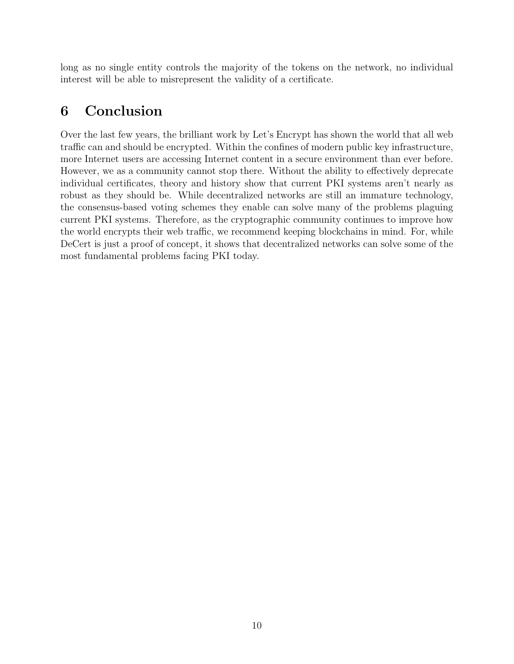long as no single entity controls the majority of the tokens on the network, no individual interest will be able to misrepresent the validity of a certificate.

# 6 Conclusion

Over the last few years, the brilliant work by Let's Encrypt has shown the world that all web traffic can and should be encrypted. Within the confines of modern public key infrastructure, more Internet users are accessing Internet content in a secure environment than ever before. However, we as a community cannot stop there. Without the ability to effectively deprecate individual certificates, theory and history show that current PKI systems aren't nearly as robust as they should be. While decentralized networks are still an immature technology, the consensus-based voting schemes they enable can solve many of the problems plaguing current PKI systems. Therefore, as the cryptographic community continues to improve how the world encrypts their web traffic, we recommend keeping blockchains in mind. For, while DeCert is just a proof of concept, it shows that decentralized networks can solve some of the most fundamental problems facing PKI today.